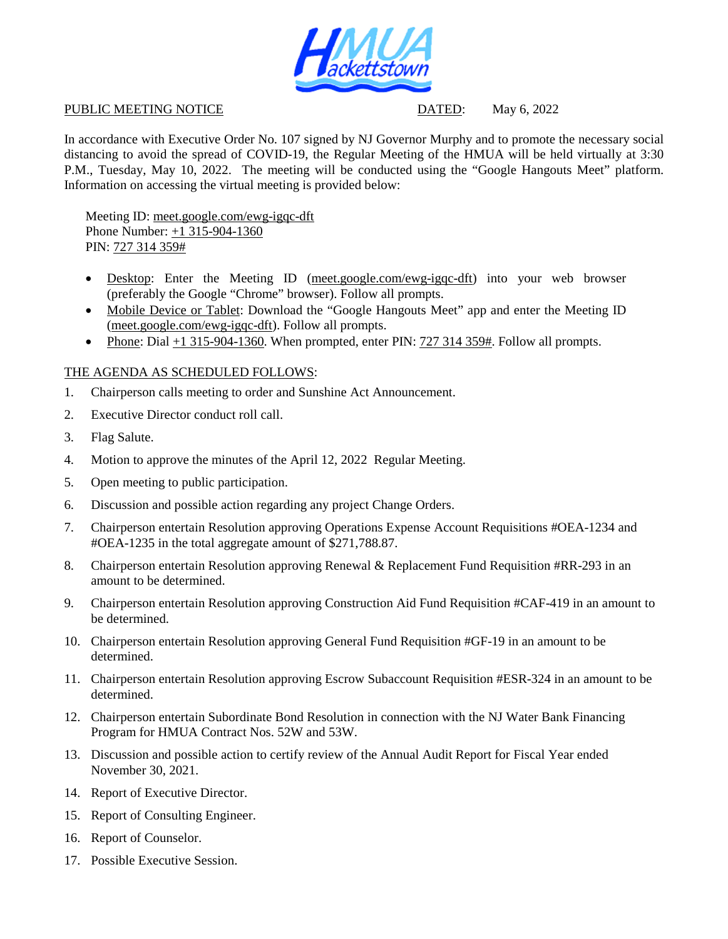

## PUBLIC MEETING NOTICE DATED: May 6, 2022

In accordance with Executive Order No. 107 signed by NJ Governor Murphy and to promote the necessary social distancing to avoid the spread of COVID-19, the Regular Meeting of the HMUA will be held virtually at 3:30 P.M., Tuesday, May 10, 2022. The meeting will be conducted using the "Google Hangouts Meet" platform. Information on accessing the virtual meeting is provided below:

Meeting ID: meet.google.com/ewg-igqc-dft Phone Number: +1 315-904-1360 PIN: 727 314 359#

- Desktop: Enter the Meeting ID (meet.google.com/ewg-igqc-dft) into your web browser (preferably the Google "Chrome" browser). Follow all prompts.
- Mobile Device or Tablet: Download the "Google Hangouts Meet" app and enter the Meeting ID (meet.google.com/ewg-igqc-dft). Follow all prompts.
- Phone: Dial  $+1$  315-904-1360. When prompted, enter PIN: 727 314 359#. Follow all prompts.

## THE AGENDA AS SCHEDULED FOLLOWS:

- 1. Chairperson calls meeting to order and Sunshine Act Announcement.
- 2. Executive Director conduct roll call.
- 3. Flag Salute.
- 4. Motion to approve the minutes of the April 12, 2022 Regular Meeting.
- 5. Open meeting to public participation.
- 6. Discussion and possible action regarding any project Change Orders.
- 7. Chairperson entertain Resolution approving Operations Expense Account Requisitions #OEA-1234 and #OEA-1235 in the total aggregate amount of \$271,788.87.
- 8. Chairperson entertain Resolution approving Renewal & Replacement Fund Requisition #RR-293 in an amount to be determined.
- 9. Chairperson entertain Resolution approving Construction Aid Fund Requisition #CAF-419 in an amount to be determined.
- 10. Chairperson entertain Resolution approving General Fund Requisition #GF-19 in an amount to be determined.
- 11. Chairperson entertain Resolution approving Escrow Subaccount Requisition #ESR-324 in an amount to be determined.
- 12. Chairperson entertain Subordinate Bond Resolution in connection with the NJ Water Bank Financing Program for HMUA Contract Nos. 52W and 53W.
- 13. Discussion and possible action to certify review of the Annual Audit Report for Fiscal Year ended November 30, 2021.
- 14. Report of Executive Director.
- 15. Report of Consulting Engineer.
- 16. Report of Counselor.
- 17. Possible Executive Session.